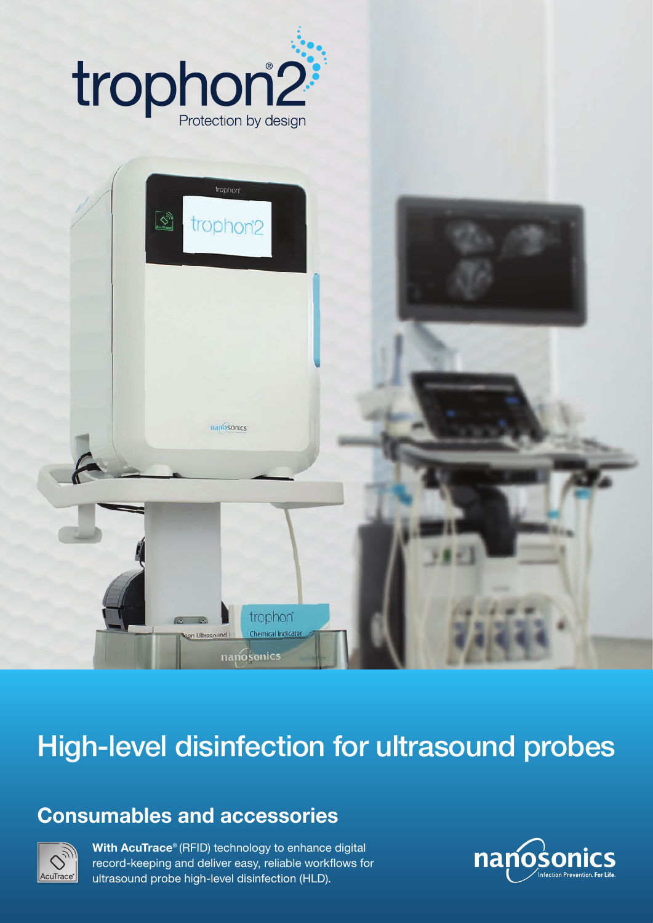



## High-level disinfection for ultrasound probes

## Consumables and accessories



With AcuTrace<sup>®</sup> (RFID) technology to enhance digital record-keeping and deliver easy, reliable workflows for ultrasound probe high-level disinfection (HLD).

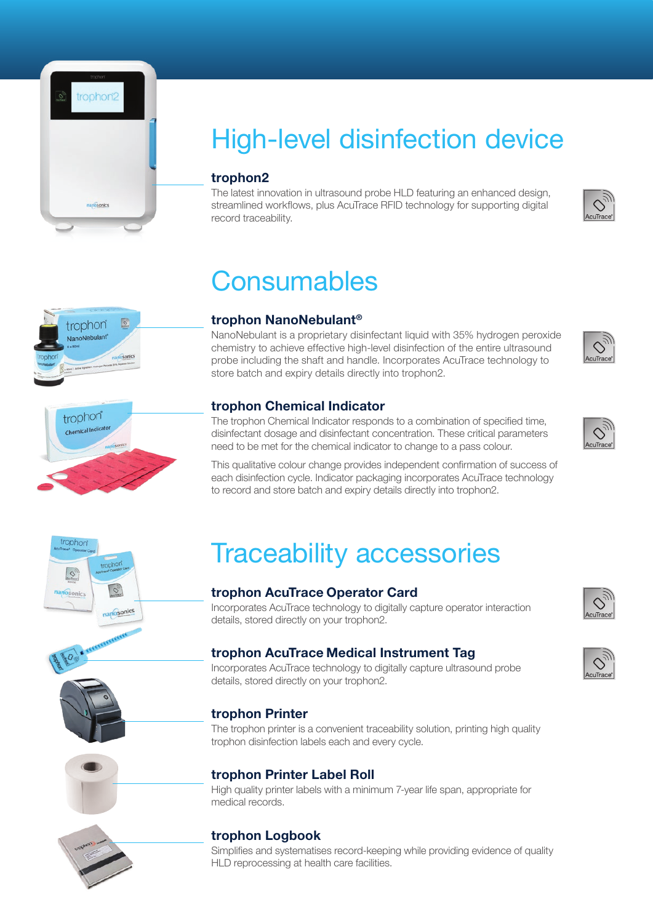

## High-level disinfection device

#### trophon2

The latest innovation in ultrasound probe HLD featuring an enhanced design, streamlined workflows, plus AcuTrace RFID technology for supporting digital record traceability.

## **Consumables**



rophor

O nosonics

#### trophon NanoNebulant®

NanoNebulant is a proprietary disinfectant liquid with 35% hydrogen peroxide chemistry to achieve effective high-level disinfection of the entire ultrasound probe including the shaft and handle. Incorporates AcuTrace technology to store batch and expiry details directly into trophon2.



The trophon Chemical Indicator responds to a combination of specified time, disinfectant dosage and disinfectant concentration. These critical parameters need to be met for the chemical indicator to change to a pass colour.

This qualitative colour change provides independent confirmation of success of each disinfection cycle. Indicator packaging incorporates AcuTrace technology to record and store batch and expiry details directly into trophon2.



 $\infty$ **AcuTrace** 



anosonics

## Traceability accessories

#### trophon AcuTrace Operator Card

Incorporates AcuTrace technology to digitally capture operator interaction details, stored directly on your trophon2.

#### trophon AcuTrace Medical Instrument Tag

Incorporates AcuTrace technology to digitally capture ultrasound probe details, stored directly on your trophon2.

#### trophon Printer

The trophon printer is a convenient traceability solution, printing high quality trophon disinfection labels each and every cycle.

#### trophon Printer Label Roll

High quality printer labels with a minimum 7-year life span, appropriate for medical records.

#### trophon Logbook

Simplifies and systematises record-keeping while providing evidence of quality HLD reprocessing at health care facilities.





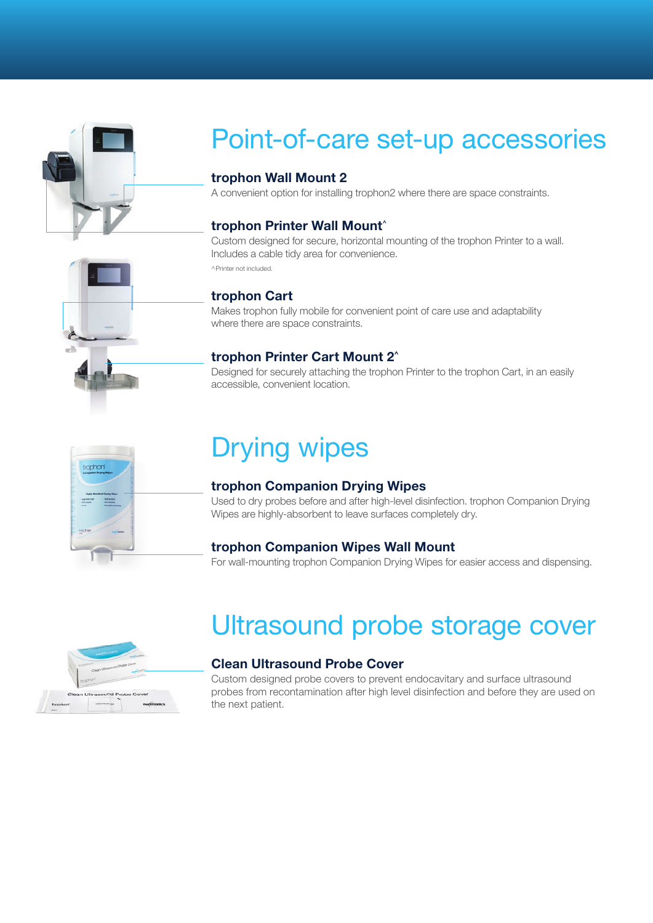

## Point-of-care set-up accessories

#### trophon Wall Mount 2

A convenient option for installing trophon2 where there are space constraints.

#### trophon Printer Wall Mount^

Custom designed for secure, horizontal mounting of the trophon Printer to a wall. Includes a cable tidy area for convenience. ^Printer not included.

#### trophon Cart

Makes trophon fully mobile for convenient point of care use and adaptability where there are space constraints.

#### trophon Printer Cart Mount 2^

Designed for securely attaching the trophon Printer to the trophon Cart, in an easily accessible, convenient location.



## Drying wipes

#### trophon Companion Drying Wipes

Used to dry probes before and after high-level disinfection. trophon Companion Drying Wipes are highly-absorbent to leave surfaces completely dry.

#### trophon Companion Wipes Wall Mount

For wall-mounting trophon Companion Drying Wipes for easier access and dispensing.



## Ultrasound probe storage cover

#### Clean Ultrasound Probe Cover

Custom designed probe covers to prevent endocavitary and surface ultrasound probes from recontamination after high level disinfection and before they are used on the next patient.